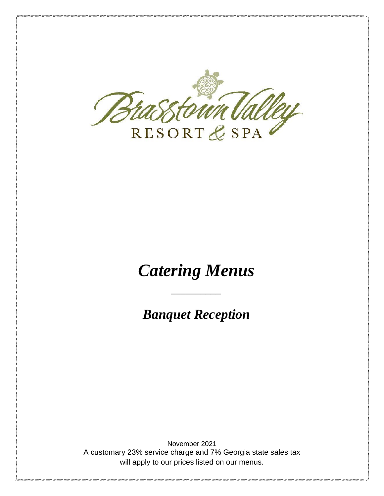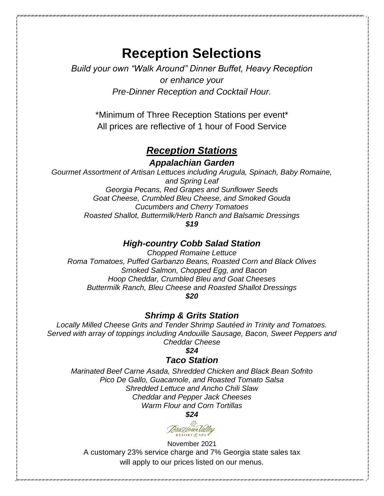# **Reception Selections**

*Build your own "Walk Around" Dinner Buffet, Heavy Reception or enhance your Pre-Dinner Reception and Cocktail Hour.*

> \*Minimum of Three Reception Stations per event\* All prices are reflective of 1 hour of Food Service

# *Reception Stations*

*Appalachian Garden*

*Gourmet Assortment of Artisan Lettuces including Arugula, Spinach, Baby Romaine, and Spring Leaf Georgia Pecans, Red Grapes and Sunflower Seeds Goat Cheese, Crumbled Bleu Cheese, and Smoked Gouda Cucumbers and Cherry Tomatoes Roasted Shallot, Buttermilk/Herb Ranch and Balsamic Dressings \$19*

#### *High-country Cobb Salad Station*

*Chopped Romaine Lettuce Roma Tomatoes, Puffed Garbanzo Beans, Roasted Corn and Black Olives Smoked Salmon, Chopped Egg, and Bacon Hoop Cheddar, Crumbled Bleu and Goat Cheeses Buttermilk Ranch, Bleu Cheese and Roasted Shallot Dressings \$20*

#### *Shrimp & Grits Station*

*Locally Milled Cheese Grits and Tender Shrimp Sautéed in Trinity and Tomatoes. Served with array of toppings including Andouille Sausage, Bacon, Sweet Peppers and Cheddar Cheese*

*\$24*

#### *Taco Station*

*Marinated Beef Carne Asada, Shredded Chicken and Black Bean Sofrito Pico De Gallo, Guacamole, and Roasted Tomato Salsa Shredded Lettuce and Ancho Chili Slaw Cheddar and Pepper Jack Cheeses Warm Flour and Corn Tortillas*

*\$24*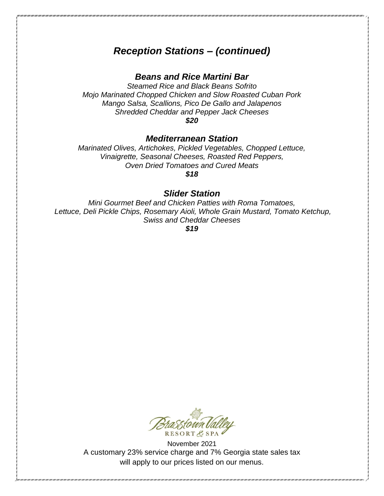# *Reception Stations – (continued)*

## *Beans and Rice Martini Bar*

*Steamed Rice and Black Beans Sofrito Mojo Marinated Chopped Chicken and Slow Roasted Cuban Pork Mango Salsa, Scallions, Pico De Gallo and Jalapenos Shredded Cheddar and Pepper Jack Cheeses \$20*

*Mediterranean Station*

*Marinated Olives, Artichokes, Pickled Vegetables, Chopped Lettuce, Vinaigrette, Seasonal Cheeses, Roasted Red Peppers, Oven Dried Tomatoes and Cured Meats \$18*

### *Slider Station*

*Mini Gourmet Beef and Chicken Patties with Roma Tomatoes, Lettuce, Deli Pickle Chips, Rosemary Aioli, Whole Grain Mustard, Tomato Ketchup, Swiss and Cheddar Cheeses*

*\$19*

RESORT & SPA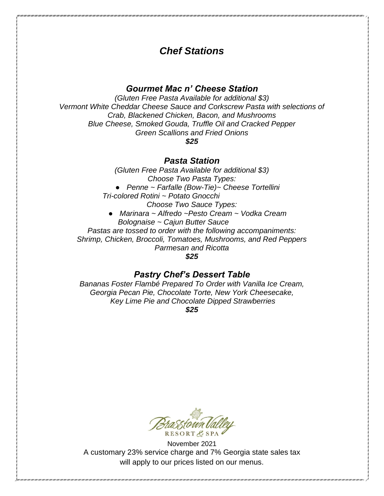# *Chef Stations*

## *Gourmet Mac n' Cheese Station*

*(Gluten Free Pasta Available for additional \$3) Vermont White Cheddar Cheese Sauce and Corkscrew Pasta with selections of Crab, Blackened Chicken, Bacon, and Mushrooms Blue Cheese, Smoked Gouda, Truffle Oil and Cracked Pepper Green Scallions and Fried Onions \$25*

#### *Pasta Station*

*(Gluten Free Pasta Available for additional \$3) Choose Two Pasta Types:* ● *Penne ~ Farfalle (Bow-Tie)~ Cheese Tortellini Tri-colored Rotini ~ Potato Gnocchi Choose Two Sauce Types:* ● *Marinara ~ Alfredo ~Pesto Cream ~ Vodka Cream Bolognaise ~ Cajun Butter Sauce Pastas are tossed to order with the following accompaniments: Shrimp, Chicken, Broccoli, Tomatoes, Mushrooms, and Red Peppers Parmesan and Ricotta* 

*\$25*

## *Pastry Chef's Dessert Table*

*Bananas Foster Flambé Prepared To Order with Vanilla Ice Cream, Georgia Pecan Pie, Chocolate Torte, New York Cheesecake, Key Lime Pie and Chocolate Dipped Strawberries*

*\$25*

 $RESORT$   $E$   $SPA$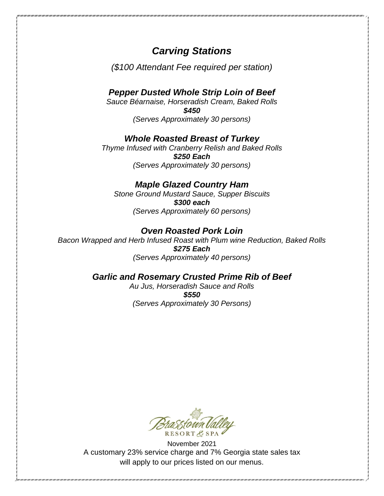# *Carving Stations*

*(\$100 Attendant Fee required per station)*

## *Pepper Dusted Whole Strip Loin of Beef*

*Sauce Béarnaise, Horseradish Cream, Baked Rolls \$450 (Serves Approximately 30 persons)* 

## *Whole Roasted Breast of Turkey*

*Thyme Infused with Cranberry Relish and Baked Rolls \$250 Each (Serves Approximately 30 persons)* 

## *Maple Glazed Country Ham*

*Stone Ground Mustard Sauce, Supper Biscuits \$300 each (Serves Approximately 60 persons)* 

#### *Oven Roasted Pork Loin*

*Bacon Wrapped and Herb Infused Roast with Plum wine Reduction, Baked Rolls \$275 Each (Serves Approximately 40 persons)* 

## *Garlic and Rosemary Crusted Prime Rib of Beef*

*Au Jus, Horseradish Sauce and Rolls \$550 (Serves Approximately 30 Persons)*

RESORTE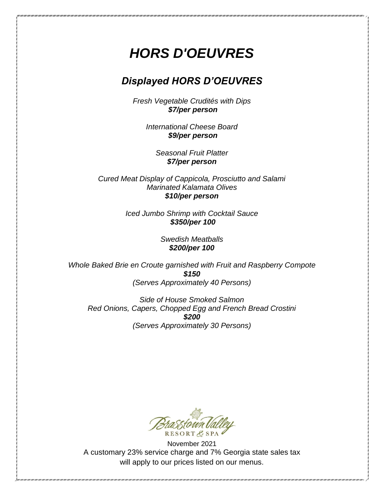# *HORS D'OEUVRES*

# *Displayed HORS D'OEUVRES*

*Fresh Vegetable Crudités with Dips \$7/per person*

> *International Cheese Board \$9/per person*

> > *Seasonal Fruit Platter \$7/per person*

*Cured Meat Display of Cappicola, Prosciutto and Salami Marinated Kalamata Olives \$10/per person*

> *Iced Jumbo Shrimp with Cocktail Sauce \$350/per 100*

> > *Swedish Meatballs \$200/per 100*

*Whole Baked Brie en Croute garnished with Fruit and Raspberry Compote \$150 (Serves Approximately 40 Persons)*

*Side of House Smoked Salmon Red Onions, Capers, Chopped Egg and French Bread Crostini \$200 (Serves Approximately 30 Persons)*

RESORTE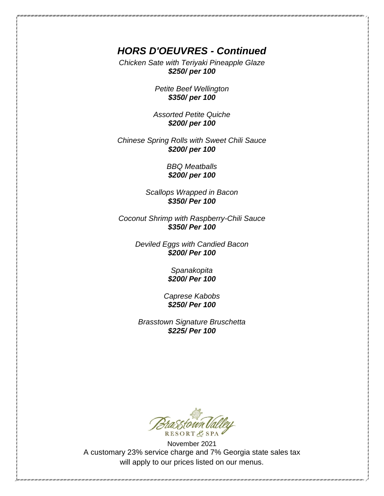# *HORS D'OEUVRES - Continued*

*Chicken Sate with Teriyaki Pineapple Glaze \$250/ per 100*

> *Petite Beef Wellington \$350/ per 100*

*Assorted Petite Quiche \$200/ per 100*

*Chinese Spring Rolls with Sweet Chili Sauce \$200/ per 100* 

> *BBQ Meatballs \$200/ per 100*

*Scallops Wrapped in Bacon \$350/ Per 100* 

*Coconut Shrimp with Raspberry-Chili Sauce \$350/ Per 100*

> *Deviled Eggs with Candied Bacon \$200/ Per 100*

> > *Spanakopita \$200/ Per 100*

*Caprese Kabobs \$250/ Per 100*

*Brasstown Signature Bruschetta \$225/ Per 100*

RESORT & SPA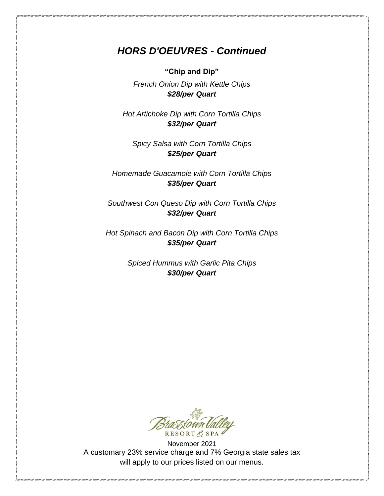# *HORS D'OEUVRES - Continued*

**"Chip and Dip"**

*French Onion Dip with Kettle Chips \$28/per Quart*

*Hot Artichoke Dip with Corn Tortilla Chips \$32/per Quart*

*Spicy Salsa with Corn Tortilla Chips \$25/per Quart*

*Homemade Guacamole with Corn Tortilla Chips \$35/per Quart*

*Southwest Con Queso Dip with Corn Tortilla Chips \$32/per Quart*

*Hot Spinach and Bacon Dip with Corn Tortilla Chips \$35/per Quart*

> *Spiced Hummus with Garlic Pita Chips \$30/per Quart*

RESORT & SPA